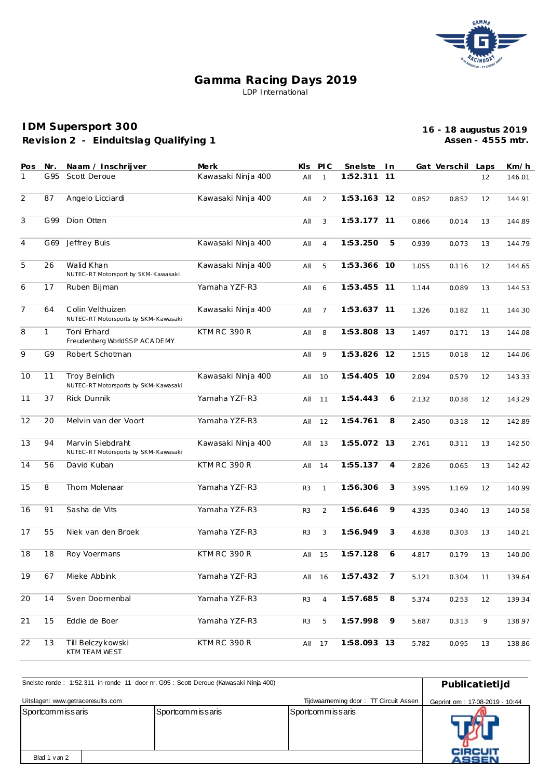

## **Gamma Racing Days 2019** LDP International

## **Revision 2 - Einduitslag Qualifying 1 IDM Supersport 300**

**16 - 18 augustus 2019 Assen - 4555 mtr.**

| Pos | Nr.          | Naam / Inschrijver                                           | Merk               | KIs.           | <b>PIC</b>     | Snelste     | In.            |       | Gat Verschil | Laps | Km/h   |
|-----|--------------|--------------------------------------------------------------|--------------------|----------------|----------------|-------------|----------------|-------|--------------|------|--------|
| 1   | G95          | Scott Deroue                                                 | Kawasaki Ninja 400 | AII            | $\mathbf{1}$   | 1:52.311    | 11             |       |              | 12   | 146.01 |
| 2   | 87           | Angelo Licciardi                                             | Kawasaki Ninja 400 | All            | 2              | 1:53.163 12 |                | 0.852 | 0.852        | 12   | 144.91 |
| 3   | G99          | Dion Otten                                                   |                    | All            | 3              | 1:53.177 11 |                | 0.866 | 0.014        | 13   | 144.89 |
| 4   | G69          | Jeffrey Buis                                                 | Kawasaki Ninja 400 | All            | $\overline{4}$ | 1:53.250    | 5              | 0.939 | 0.073        | 13   | 144.79 |
| 5   | 26           | Walid Khan<br>NUTEC-RT Motorsport by SKM-Kawasaki            | Kawasaki Ninja 400 | All            | 5              | 1:53.366 10 |                | 1.055 | 0.116        | 12   | 144.65 |
| 6   | 17           | Ruben Bijman                                                 | Yamaha YZF-R3      | All            | 6              | 1:53.455 11 |                | 1.144 | 0.089        | 13   | 144.53 |
| 7   | 64           | Colin Velthuizen<br>NUTEC-RT Motorsports by SKM-Kawasaki     | Kawasaki Ninja 400 | All            | $\overline{7}$ | 1:53.637 11 |                | 1.326 | 0.182        | 11   | 144.30 |
| 8   | $\mathbf{1}$ | Toni Erhard<br>Freudenberg WorldSSP ACA DEMY                 | KTM RC 390 R       | All            | 8              | 1:53.808 13 |                | 1.497 | 0.171        | 13   | 144.08 |
| 9   | G9           | Robert Schotman                                              |                    | All            | 9              | 1:53.826 12 |                | 1.515 | 0.018        | 12   | 144.06 |
| 10  | 11           | <b>Troy Beinlich</b><br>NUTEC-RT Motorsports by SKM-Kawasaki | Kawasaki Ninja 400 | All            | 10             | 1:54.405 10 |                | 2.094 | 0.579        | 12   | 143.33 |
| 11  | 37           | Rick Dunnik                                                  | Yamaha YZF-R3      | All            | 11             | 1:54.443    | 6              | 2.132 | 0.038        | 12   | 143.29 |
| 12  | 20           | Melvin van der Voort                                         | Yamaha YZF-R3      | All            | 12             | 1:54.761    | 8              | 2.450 | 0.318        | 12   | 142.89 |
| 13  | 94           | Marvin Siebdraht<br>NUTEC-RT Motorsports by SKM-Kawasaki     | Kawasaki Ninja 400 | All            | 13             | 1:55.072 13 |                | 2.761 | 0.311        | 13   | 142.50 |
| 14  | 56           | David Kuban                                                  | KTM RC 390 R       | All            | 14             | 1:55.137    | 4              | 2.826 | 0.065        | 13   | 142.42 |
| 15  | 8            | Thom Molenaar                                                | Yamaha YZF-R3      | R <sub>3</sub> | $\mathbf{1}$   | 1:56.306    | 3              | 3.995 | 1.169        | 12   | 140.99 |
| 16  | 91           | Sasha de Vits                                                | Yamaha YZF-R3      | R <sub>3</sub> | 2              | 1:56.646    | 9              | 4.335 | 0.340        | 13   | 140.58 |
| 17  | 55           | Niek van den Broek                                           | Yamaha YZF-R3      | R <sub>3</sub> | 3              | 1:56.949    | 3              | 4.638 | 0.303        | 13   | 140.21 |
| 18  | 18           | Roy Voermans                                                 | KTM RC 390 R       | All            | 15             | 1:57.128    | 6              | 4.817 | 0.179        | 13   | 140.00 |
| 19  | 67           | Mieke Abbink                                                 | Yamaha YZF-R3      | All            | 16             | 1:57.432    | $\overline{7}$ | 5.121 | 0.304        | 11   | 139.64 |
| 20  | 14           | Sven Doornenbal                                              | Yamaha YZF-R3      | R3             | $\overline{4}$ | 1:57.685    | 8              | 5.374 | 0.253        | 12   | 139.34 |
| 21  | 15           | Eddie de Boer                                                | Yamaha YZF-R3      | R <sub>3</sub> | $\mathbf 5$    | 1:57.998    | 9              | 5.687 | 0.313        | 9    | 138.97 |
| 22  | 13           | Till Belczykowski<br>KTM TEAM WEST                           | KTM RC 390 R       |                | All 17         | 1:58.093 13 |                | 5.782 | 0.095        | 13   | 138.86 |

| Snelste ronde: 1:52.311 in ronde 11 door nr. G95 : Scott Deroue (Kawasaki Ninja 400) | Publicatietijd                 |                  |                                |  |  |  |
|--------------------------------------------------------------------------------------|--------------------------------|------------------|--------------------------------|--|--|--|
| Uitslagen: www.getraceresults.com                                                    | Geprint om: 17-08-2019 - 10:44 |                  |                                |  |  |  |
| Sportcommissaris                                                                     | Sportcommissaris               | Sportcommissaris |                                |  |  |  |
| Blad 1 van 2                                                                         |                                |                  | <b>CIRCUIT</b><br><b>ASSEN</b> |  |  |  |